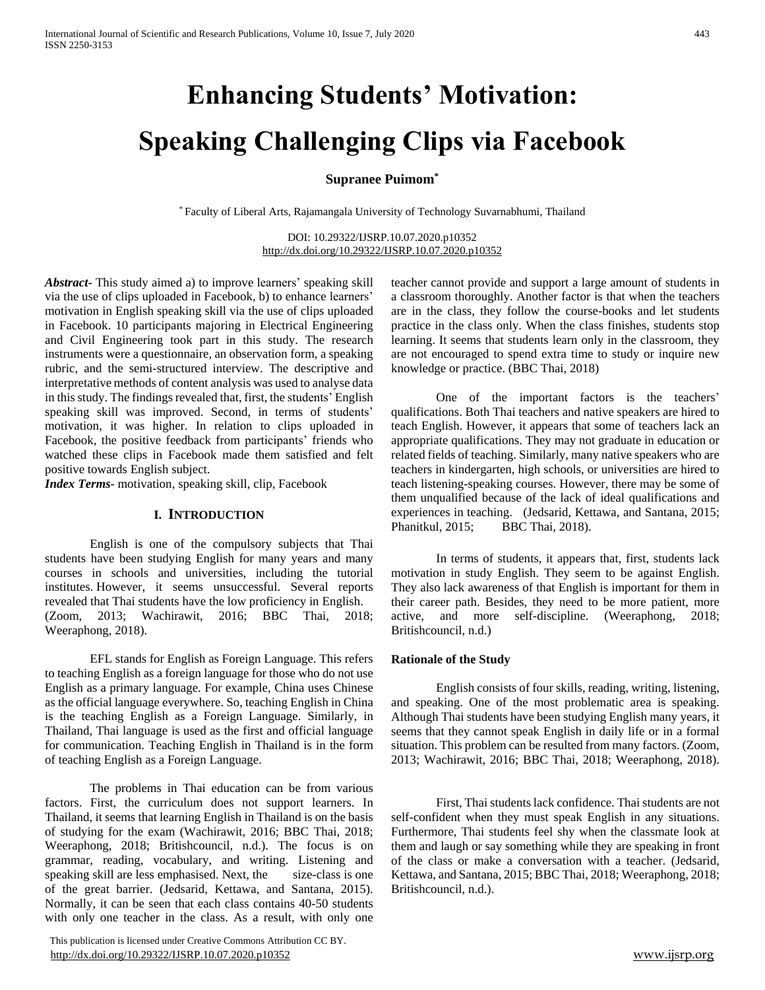# **Enhancing Students' Motivation: Speaking Challenging Clips via Facebook**

# **Supranee Puimom\***

\* Faculty of Liberal Arts, Rajamangala University of Technology Suvarnabhumi, Thailand

DOI: 10.29322/IJSRP.10.07.2020.p10352 <http://dx.doi.org/10.29322/IJSRP.10.07.2020.p10352>

*Abstract***-** This study aimed a) to improve learners' speaking skill via the use of clips uploaded in Facebook, b) to enhance learners' motivation in English speaking skill via the use of clips uploaded in Facebook. 10 participants majoring in Electrical Engineering and Civil Engineering took part in this study. The research instruments were a questionnaire, an observation form, a speaking rubric, and the semi-structured interview. The descriptive and interpretative methods of content analysis was used to analyse data in this study. The findings revealed that, first, the students' English speaking skill was improved. Second, in terms of students' motivation, it was higher. In relation to clips uploaded in Facebook, the positive feedback from participants' friends who watched these clips in Facebook made them satisfied and felt positive towards English subject.

*Index Terms*- motivation, speaking skill, clip, Facebook

## **I. INTRODUCTION**

English is one of the compulsory subjects that Thai students have been studying English for many years and many courses in schools and universities, including the tutorial institutes. However, it seems unsuccessful. Several reports revealed that Thai students have the low proficiency in English. (Zoom, 2013; Wachirawit, 2016; BBC Thai, 2018; Weeraphong, 2018).

EFL stands for English as Foreign Language. This refers to teaching English as a foreign language for those who do not use English as a primary language. For example, China uses Chinese as the official language everywhere. So, teaching English in China is the teaching English as a Foreign Language. Similarly, in Thailand, Thai language is used as the first and official language for communication. Teaching English in Thailand is in the form of teaching English as a Foreign Language.

The problems in Thai education can be from various factors. First, the curriculum does not support learners. In Thailand, it seems that learning English in Thailand is on the basis of studying for the exam (Wachirawit, 2016; BBC Thai, 2018; Weeraphong, 2018; Britishcouncil, n.d.). The focus is on grammar, reading, vocabulary, and writing. Listening and speaking skill are less emphasised. Next, the size-class is one of the great barrier. (Jedsarid, Kettawa, and Santana, 2015). Normally, it can be seen that each class contains 40-50 students with only one teacher in the class. As a result, with only one

 This publication is licensed under Creative Commons Attribution CC BY. <http://dx.doi.org/10.29322/IJSRP.10.07.2020.p10352> [www.ijsrp.org](http://ijsrp.org/)

teacher cannot provide and support a large amount of students in a classroom thoroughly. Another factor is that when the teachers are in the class, they follow the course-books and let students practice in the class only. When the class finishes, students stop learning. It seems that students learn only in the classroom, they are not encouraged to spend extra time to study or inquire new knowledge or practice. (BBC Thai, 2018)

One of the important factors is the teachers' qualifications. Both Thai teachers and native speakers are hired to teach English. However, it appears that some of teachers lack an appropriate qualifications. They may not graduate in education or related fields of teaching. Similarly, many native speakers who are teachers in kindergarten, high schools, or universities are hired to teach listening-speaking courses. However, there may be some of them unqualified because of the lack of ideal qualifications and experiences in teaching. (Jedsarid, Kettawa, and Santana, 2015; Phanitkul, 2015; BBC Thai, 2018).

In terms of students, it appears that, first, students lack motivation in study English. They seem to be against English. They also lack awareness of that English is important for them in their career path. Besides, they need to be more patient, more active, and more self-discipline. (Weeraphong, 2018; Britishcouncil, n.d.)

#### **Rationale of the Study**

English consists of four skills, reading, writing, listening, and speaking. One of the most problematic area is speaking. Although Thai students have been studying English many years, it seems that they cannot speak English in daily life or in a formal situation. This problem can be resulted from many factors. (Zoom, 2013; Wachirawit, 2016; BBC Thai, 2018; Weeraphong, 2018).

First, Thai students lack confidence. Thai students are not self-confident when they must speak English in any situations. Furthermore, Thai students feel shy when the classmate look at them and laugh or say something while they are speaking in front of the class or make a conversation with a teacher. (Jedsarid, Kettawa, and Santana, 2015; BBC Thai, 2018; Weeraphong, 2018; Britishcouncil, n.d.).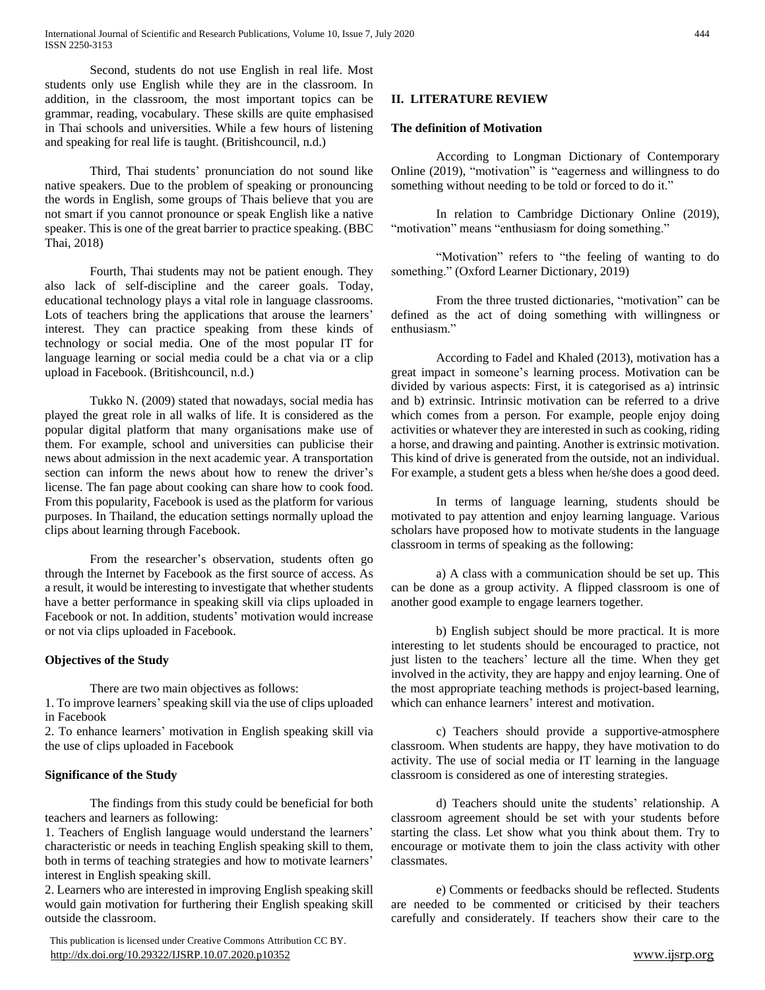Second, students do not use English in real life. Most students only use English while they are in the classroom. In addition, in the classroom, the most important topics can be grammar, reading, vocabulary. These skills are quite emphasised in Thai schools and universities. While a few hours of listening and speaking for real life is taught. (Britishcouncil, n.d.)

Third, Thai students' pronunciation do not sound like native speakers. Due to the problem of speaking or pronouncing the words in English, some groups of Thais believe that you are not smart if you cannot pronounce or speak English like a native speaker. This is one of the great barrier to practice speaking. (BBC Thai, 2018)

Fourth, Thai students may not be patient enough. They also lack of self-discipline and the career goals. Today, educational technology plays a vital role in language classrooms. Lots of teachers bring the applications that arouse the learners' interest. They can practice speaking from these kinds of technology or social media. One of the most popular IT for language learning or social media could be a chat via or a clip upload in Facebook. (Britishcouncil, n.d.)

Tukko N. (2009) stated that nowadays, social media has played the great role in all walks of life. It is considered as the popular digital platform that many organisations make use of them. For example, school and universities can publicise their news about admission in the next academic year. A transportation section can inform the news about how to renew the driver's license. The fan page about cooking can share how to cook food. From this popularity, Facebook is used as the platform for various purposes. In Thailand, the education settings normally upload the clips about learning through Facebook.

From the researcher's observation, students often go through the Internet by Facebook as the first source of access. As a result, it would be interesting to investigate that whether students have a better performance in speaking skill via clips uploaded in Facebook or not. In addition, students' motivation would increase or not via clips uploaded in Facebook.

# **Objectives of the Study**

There are two main objectives as follows:

1. To improve learners' speaking skill via the use of clips uploaded in Facebook

2. To enhance learners' motivation in English speaking skill via the use of clips uploaded in Facebook

# **Significance of the Study**

The findings from this study could be beneficial for both teachers and learners as following:

1. Teachers of English language would understand the learners' characteristic or needs in teaching English speaking skill to them, both in terms of teaching strategies and how to motivate learners' interest in English speaking skill.

2. Learners who are interested in improving English speaking skill would gain motivation for furthering their English speaking skill outside the classroom.

 This publication is licensed under Creative Commons Attribution CC BY. <http://dx.doi.org/10.29322/IJSRP.10.07.2020.p10352> [www.ijsrp.org](http://ijsrp.org/)

# **II. LITERATURE REVIEW**

#### **The definition of Motivation**

According to Longman Dictionary of Contemporary Online (2019), "motivation" is "eagerness and willingness to do something without needing to be told or forced to do it."

In relation to Cambridge Dictionary Online (2019), "motivation" means "enthusiasm for doing something."

"Motivation" refers to "the feeling of wanting to do something." (Oxford Learner Dictionary, 2019)

From the three trusted dictionaries, "motivation" can be defined as the act of doing something with willingness or enthusiasm."

According to Fadel and Khaled (2013), motivation has a great impact in someone's learning process. Motivation can be divided by various aspects: First, it is categorised as a) intrinsic and b) extrinsic. Intrinsic motivation can be referred to a drive which comes from a person. For example, people enjoy doing activities or whatever they are interested in such as cooking, riding a horse, and drawing and painting. Another is extrinsic motivation. This kind of drive is generated from the outside, not an individual. For example, a student gets a bless when he/she does a good deed.

In terms of language learning, students should be motivated to pay attention and enjoy learning language. Various scholars have proposed how to motivate students in the language classroom in terms of speaking as the following:

a) A class with a communication should be set up. This can be done as a group activity. A flipped classroom is one of another good example to engage learners together.

b) English subject should be more practical. It is more interesting to let students should be encouraged to practice, not just listen to the teachers' lecture all the time. When they get involved in the activity, they are happy and enjoy learning. One of the most appropriate teaching methods is project-based learning, which can enhance learners' interest and motivation.

c) Teachers should provide a supportive-atmosphere classroom. When students are happy, they have motivation to do activity. The use of social media or IT learning in the language classroom is considered as one of interesting strategies.

d) Teachers should unite the students' relationship. A classroom agreement should be set with your students before starting the class. Let show what you think about them. Try to encourage or motivate them to join the class activity with other classmates.

e) Comments or feedbacks should be reflected. Students are needed to be commented or criticised by their teachers carefully and considerately. If teachers show their care to the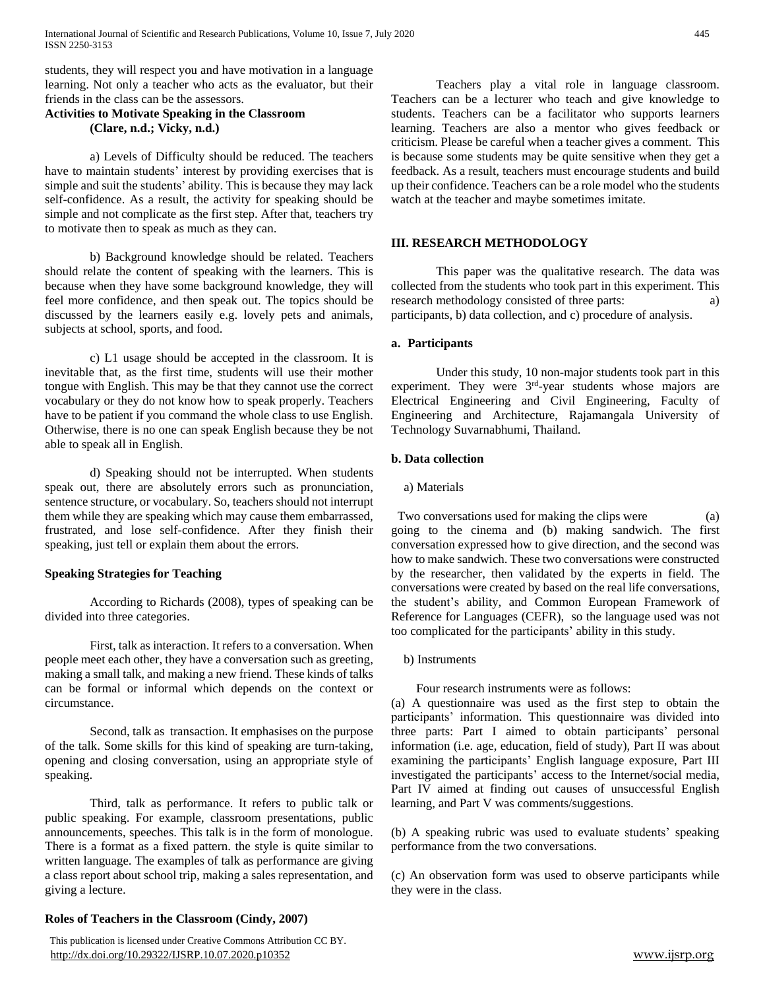students, they will respect you and have motivation in a language learning. Not only a teacher who acts as the evaluator, but their friends in the class can be the assessors.

# **Activities to Motivate Speaking in the Classroom (Clare, n.d.; Vicky, n.d.)**

a) Levels of Difficulty should be reduced. The teachers have to maintain students' interest by providing exercises that is simple and suit the students' ability. This is because they may lack self-confidence. As a result, the activity for speaking should be simple and not complicate as the first step. After that, teachers try to motivate then to speak as much as they can.

b) Background knowledge should be related. Teachers should relate the content of speaking with the learners. This is because when they have some background knowledge, they will feel more confidence, and then speak out. The topics should be discussed by the learners easily e.g. lovely pets and animals, subjects at school, sports, and food.

c) L1 usage should be accepted in the classroom. It is inevitable that, as the first time, students will use their mother tongue with English. This may be that they cannot use the correct vocabulary or they do not know how to speak properly. Teachers have to be patient if you command the whole class to use English. Otherwise, there is no one can speak English because they be not able to speak all in English.

d) Speaking should not be interrupted. When students speak out, there are absolutely errors such as pronunciation, sentence structure, or vocabulary. So, teachers should not interrupt them while they are speaking which may cause them embarrassed, frustrated, and lose self-confidence. After they finish their speaking, just tell or explain them about the errors.

# **Speaking Strategies for Teaching**

According to Richards (2008), types of speaking can be divided into three categories.

First, talk as interaction. It refers to a conversation. When people meet each other, they have a conversation such as greeting, making a small talk, and making a new friend. These kinds of talks can be formal or informal which depends on the context or circumstance.

Second, talk as transaction. It emphasises on the purpose of the talk. Some skills for this kind of speaking are turn-taking, opening and closing conversation, using an appropriate style of speaking.

Third, talk as performance. It refers to public talk or public speaking. For example, classroom presentations, public announcements, speeches. This talk is in the form of monologue. There is a format as a fixed pattern. the style is quite similar to written language. The examples of talk as performance are giving a class report about school trip, making a sales representation, and giving a lecture.

# **Roles of Teachers in the Classroom (Cindy, 2007)**

 This publication is licensed under Creative Commons Attribution CC BY. <http://dx.doi.org/10.29322/IJSRP.10.07.2020.p10352> [www.ijsrp.org](http://ijsrp.org/)

Teachers play a vital role in language classroom. Teachers can be a lecturer who teach and give knowledge to students. Teachers can be a facilitator who supports learners learning. Teachers are also a mentor who gives feedback or criticism. Please be careful when a teacher gives a comment. This is because some students may be quite sensitive when they get a feedback. As a result, teachers must encourage students and build up their confidence. Teachers can be a role model who the students watch at the teacher and maybe sometimes imitate.

#### **III. RESEARCH METHODOLOGY**

This paper was the qualitative research. The data was collected from the students who took part in this experiment. This research methodology consisted of three parts: a) participants, b) data collection, and c) procedure of analysis.

#### **a. Participants**

Under this study, 10 non-major students took part in this experiment. They were 3<sup>rd</sup>-year students whose majors are Electrical Engineering and Civil Engineering, Faculty of Engineering and Architecture, Rajamangala University of Technology Suvarnabhumi, Thailand.

#### **b. Data collection**

a) Materials

 Two conversations used for making the clips were (a) going to the cinema and (b) making sandwich. The first conversation expressed how to give direction, and the second was how to make sandwich. These two conversations were constructed by the researcher, then validated by the experts in field. The conversations were created by based on the real life conversations, the student's ability, and Common European Framework of Reference for Languages (CEFR), so the language used was not too complicated for the participants' ability in this study.

b) Instruments

Four research instruments were as follows:

(a) A questionnaire was used as the first step to obtain the participants' information. This questionnaire was divided into three parts: Part I aimed to obtain participants' personal information (i.e. age, education, field of study), Part II was about examining the participants' English language exposure, Part III investigated the participants' access to the Internet/social media, Part IV aimed at finding out causes of unsuccessful English learning, and Part V was comments/suggestions.

(b) A speaking rubric was used to evaluate students' speaking performance from the two conversations.

(c) An observation form was used to observe participants while they were in the class.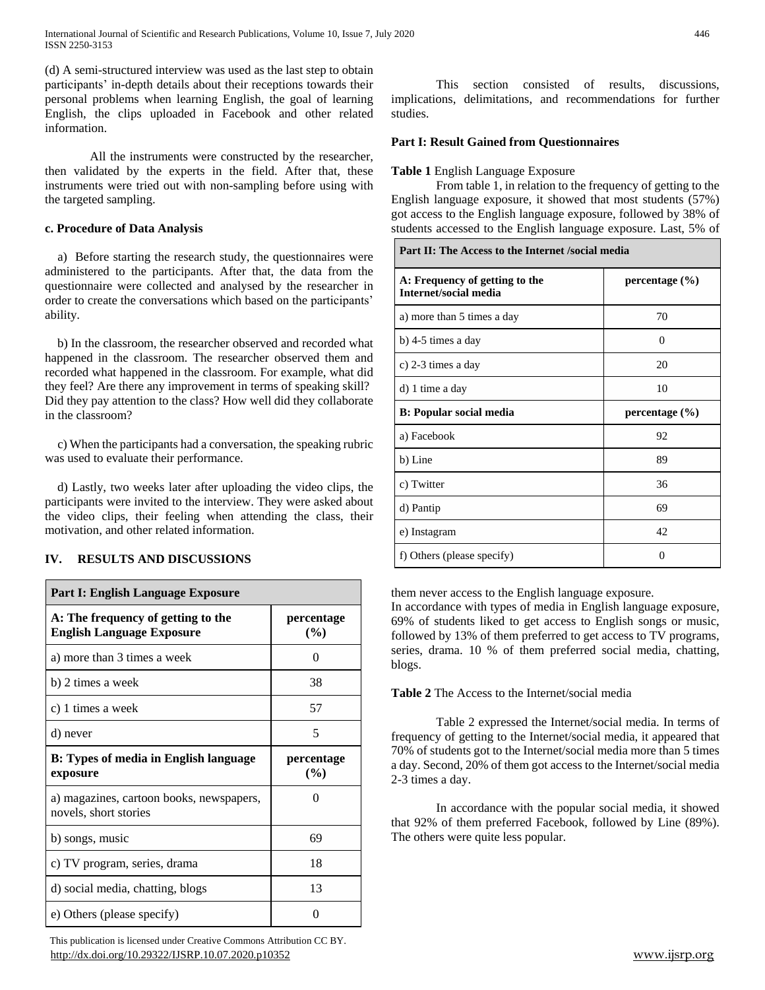International Journal of Scientific and Research Publications, Volume 10, Issue 7, July 2020 446 ISSN 2250-3153

(d) A semi-structured interview was used as the last step to obtain participants' in-depth details about their receptions towards their personal problems when learning English, the goal of learning English, the clips uploaded in Facebook and other related information.

All the instruments were constructed by the researcher, then validated by the experts in the field. After that, these instruments were tried out with non-sampling before using with the targeted sampling.

# **c. Procedure of Data Analysis**

 a) Before starting the research study, the questionnaires were administered to the participants. After that, the data from the questionnaire were collected and analysed by the researcher in order to create the conversations which based on the participants' ability.

 b) In the classroom, the researcher observed and recorded what happened in the classroom. The researcher observed them and recorded what happened in the classroom. For example, what did they feel? Are there any improvement in terms of speaking skill? Did they pay attention to the class? How well did they collaborate in the classroom?

 c) When the participants had a conversation, the speaking rubric was used to evaluate their performance.

 d) Lastly, two weeks later after uploading the video clips, the participants were invited to the interview. They were asked about the video clips, their feeling when attending the class, their motivation, and other related information.

# **IV. RESULTS AND DISCUSSIONS**

| <b>Part I: English Language Exposure</b>                               |                      |  |
|------------------------------------------------------------------------|----------------------|--|
| A: The frequency of getting to the<br><b>English Language Exposure</b> | percentage<br>$($ %) |  |
| a) more than 3 times a week                                            | $\mathbf{\Omega}$    |  |
| b) 2 times a week                                                      | 38                   |  |
| c) 1 times a week                                                      | 57                   |  |
| d) never                                                               | 5                    |  |
| <b>B:</b> Types of media in English language<br>exposure               | percentage<br>$($ %) |  |
| a) magazines, cartoon books, newspapers,<br>novels, short stories      | $\Omega$             |  |
| b) songs, music                                                        | 69                   |  |
| c) TV program, series, drama                                           | 18                   |  |
| d) social media, chatting, blogs                                       | 13                   |  |
|                                                                        |                      |  |

 This publication is licensed under Creative Commons Attribution CC BY. <http://dx.doi.org/10.29322/IJSRP.10.07.2020.p10352> [www.ijsrp.org](http://ijsrp.org/)

# **Part I: Result Gained from Questionnaires**

# **Table 1** English Language Exposure

From table 1, in relation to the frequency of getting to the English language exposure, it showed that most students (57%) got access to the English language exposure, followed by 38% of students accessed to the English language exposure. Last, 5% of

| Part II: The Access to the Internet /social media       |                    |  |
|---------------------------------------------------------|--------------------|--|
| A: Frequency of getting to the<br>Internet/social media | percentage $(\% )$ |  |
| a) more than 5 times a day                              | 70                 |  |
| b) 4-5 times a day                                      | 0                  |  |
| c) $2-3$ times a day                                    | 20                 |  |
| d) 1 time a day                                         | 10                 |  |
| <b>B</b> : Popular social media                         | percentage $(\% )$ |  |
| a) Facebook                                             | 92                 |  |
| b) Line                                                 | 89                 |  |
| c) Twitter                                              | 36                 |  |
| d) Pantip                                               | 69                 |  |
| e) Instagram                                            | 42                 |  |
| f) Others (please specify)                              | 0                  |  |

them never access to the English language exposure.

In accordance with types of media in English language exposure, 69% of students liked to get access to English songs or music, followed by 13% of them preferred to get access to TV programs, series, drama. 10 % of them preferred social media, chatting, blogs.

**Table 2** The Access to the Internet/social media

Table 2 expressed the Internet/social media. In terms of frequency of getting to the Internet/social media, it appeared that 70% of students got to the Internet/social media more than 5 times a day. Second, 20% of them got access to the Internet/social media 2-3 times a day.

In accordance with the popular social media, it showed that 92% of them preferred Facebook, followed by Line (89%). The others were quite less popular.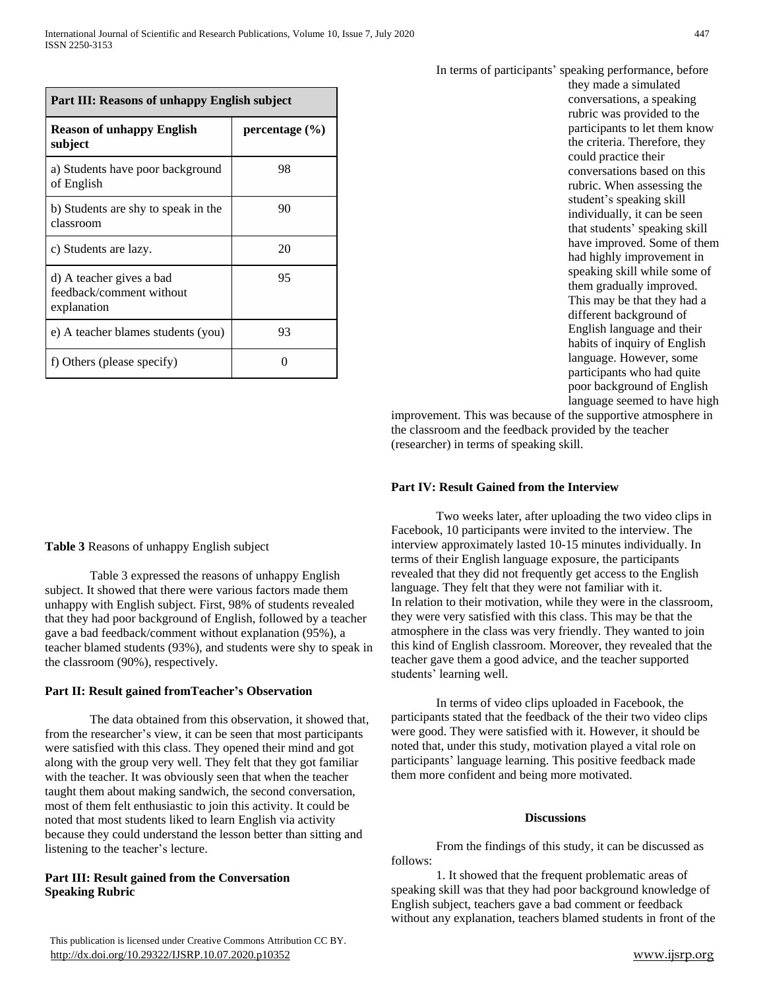| <b>Part III: Reasons of unhappy English subject</b>                 |                |  |
|---------------------------------------------------------------------|----------------|--|
| <b>Reason of unhappy English</b><br>subject                         | percentage (%) |  |
| a) Students have poor background<br>of English                      | 98             |  |
| b) Students are shy to speak in the<br>classroom                    | 90             |  |
| c) Students are lazy.                                               | 20             |  |
| d) A teacher gives a bad<br>feedback/comment without<br>explanation | 95             |  |
| e) A teacher blames students (you)                                  | 93             |  |
| f) Others (please specify)                                          |                |  |

**Table 3** Reasons of unhappy English subject

Table 3 expressed the reasons of unhappy English subject. It showed that there were various factors made them unhappy with English subject. First, 98% of students revealed that they had poor background of English, followed by a teacher gave a bad feedback/comment without explanation (95%), a teacher blamed students (93%), and students were shy to speak in the classroom (90%), respectively.

# **Part II: Result gained fromTeacher's Observation**

The data obtained from this observation, it showed that, from the researcher's view, it can be seen that most participants were satisfied with this class. They opened their mind and got along with the group very well. They felt that they got familiar with the teacher. It was obviously seen that when the teacher taught them about making sandwich, the second conversation, most of them felt enthusiastic to join this activity. It could be noted that most students liked to learn English via activity because they could understand the lesson better than sitting and listening to the teacher's lecture.

# **Part III: Result gained from the Conversation Speaking Rubric**

In terms of participants' speaking performance, before they made a simulated conversations, a speaking rubric was provided to the participants to let them know the criteria. Therefore, they could practice their conversations based on this rubric. When assessing the student's speaking skill individually, it can be seen that students' speaking skill have improved. Some of them had highly improvement in speaking skill while some of them gradually improved. This may be that they had a different background of English language and their habits of inquiry of English language. However, some participants who had quite poor background of English

language seemed to have high

improvement. This was because of the supportive atmosphere in the classroom and the feedback provided by the teacher (researcher) in terms of speaking skill.

# **Part IV: Result Gained from the Interview**

Two weeks later, after uploading the two video clips in Facebook, 10 participants were invited to the interview. The interview approximately lasted 10-15 minutes individually. In terms of their English language exposure, the participants revealed that they did not frequently get access to the English language. They felt that they were not familiar with it. In relation to their motivation, while they were in the classroom, they were very satisfied with this class. This may be that the atmosphere in the class was very friendly. They wanted to join this kind of English classroom. Moreover, they revealed that the teacher gave them a good advice, and the teacher supported students' learning well.

In terms of video clips uploaded in Facebook, the participants stated that the feedback of the their two video clips were good. They were satisfied with it. However, it should be noted that, under this study, motivation played a vital role on participants' language learning. This positive feedback made them more confident and being more motivated.

#### **Discussions**

From the findings of this study, it can be discussed as follows:

1. It showed that the frequent problematic areas of speaking skill was that they had poor background knowledge of English subject, teachers gave a bad comment or feedback without any explanation, teachers blamed students in front of the

 This publication is licensed under Creative Commons Attribution CC BY. <http://dx.doi.org/10.29322/IJSRP.10.07.2020.p10352> [www.ijsrp.org](http://ijsrp.org/)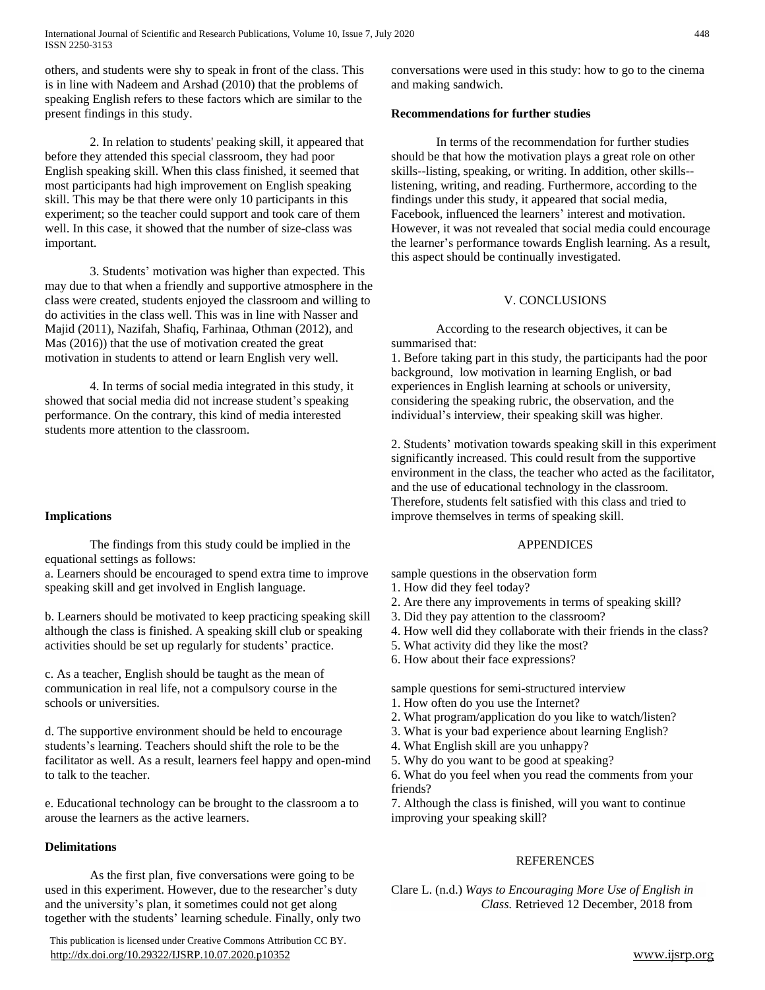others, and students were shy to speak in front of the class. This is in line with Nadeem and Arshad (2010) that the problems of speaking English refers to these factors which are similar to the present findings in this study.

2. In relation to students' peaking skill, it appeared that before they attended this special classroom, they had poor English speaking skill. When this class finished, it seemed that most participants had high improvement on English speaking skill. This may be that there were only 10 participants in this experiment; so the teacher could support and took care of them well. In this case, it showed that the number of size-class was important.

3. Students' motivation was higher than expected. This may due to that when a friendly and supportive atmosphere in the class were created, students enjoyed the classroom and willing to do activities in the class well. This was in line with Nasser and Majid (2011), Nazifah, Shafiq, Farhinaa, Othman (2012), and Mas (2016)) that the use of motivation created the great motivation in students to attend or learn English very well.

4. In terms of social media integrated in this study, it showed that social media did not increase student's speaking performance. On the contrary, this kind of media interested students more attention to the classroom.

# **Implications**

The findings from this study could be implied in the equational settings as follows:

a. Learners should be encouraged to spend extra time to improve speaking skill and get involved in English language.

b. Learners should be motivated to keep practicing speaking skill although the class is finished. A speaking skill club or speaking activities should be set up regularly for students' practice.

c. As a teacher, English should be taught as the mean of communication in real life, not a compulsory course in the schools or universities.

d. The supportive environment should be held to encourage students's learning. Teachers should shift the role to be the facilitator as well. As a result, learners feel happy and open-mind to talk to the teacher.

e. Educational technology can be brought to the classroom a to arouse the learners as the active learners.

# **Delimitations**

As the first plan, five conversations were going to be used in this experiment. However, due to the researcher's duty and the university's plan, it sometimes could not get along together with the students' learning schedule. Finally, only two

 This publication is licensed under Creative Commons Attribution CC BY. <http://dx.doi.org/10.29322/IJSRP.10.07.2020.p10352> [www.ijsrp.org](http://ijsrp.org/)

conversations were used in this study: how to go to the cinema and making sandwich.

# **Recommendations for further studies**

In terms of the recommendation for further studies should be that how the motivation plays a great role on other skills--listing, speaking, or writing. In addition, other skills- listening, writing, and reading. Furthermore, according to the findings under this study, it appeared that social media, Facebook, influenced the learners' interest and motivation. However, it was not revealed that social media could encourage the learner's performance towards English learning. As a result, this aspect should be continually investigated.

# V. CONCLUSIONS

According to the research objectives, it can be summarised that:

1. Before taking part in this study, the participants had the poor background, low motivation in learning English, or bad experiences in English learning at schools or university, considering the speaking rubric, the observation, and the individual's interview, their speaking skill was higher.

2. Students' motivation towards speaking skill in this experiment significantly increased. This could result from the supportive environment in the class, the teacher who acted as the facilitator, and the use of educational technology in the classroom. Therefore, students felt satisfied with this class and tried to improve themselves in terms of speaking skill.

# **APPENDICES**

sample questions in the observation form

- 1. How did they feel today?
- 2. Are there any improvements in terms of speaking skill?
- 3. Did they pay attention to the classroom?
- 4. How well did they collaborate with their friends in the class?
- 5. What activity did they like the most?
- 6. How about their face expressions?

sample questions for semi-structured interview

- 1. How often do you use the Internet?
- 2. What program/application do you like to watch/listen?
- 3. What is your bad experience about learning English?
- 4. What English skill are you unhappy?
- 5. Why do you want to be good at speaking?

6. What do you feel when you read the comments from your friends?

7. Although the class is finished, will you want to continue improving your speaking skill?

# REFERENCES

Clare L. (n.d.) *Ways to Encouraging More Use of English in Class.* Retrieved 12 December, 2018 from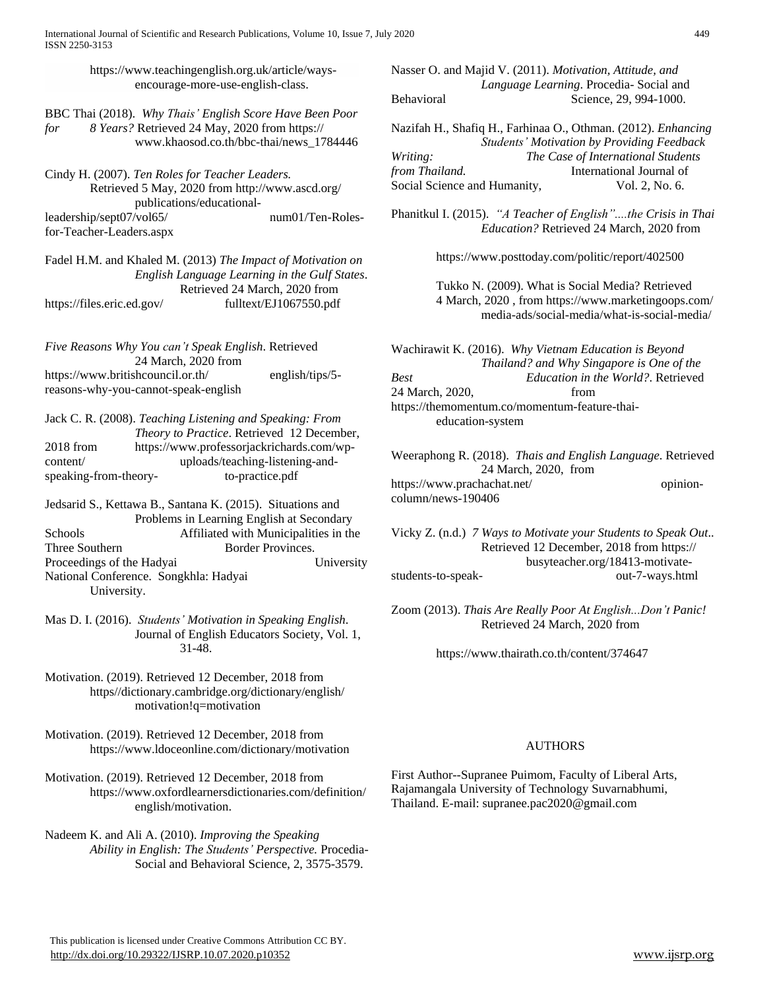[https://www.teachingenglish.org.uk/article/ways](https://www.teachingenglish.org.uk/article/ways-)encourage-more-use-english-class.

BBC Thai (2018). *Why Thais' English Score Have Been Poor for 8 Years?* Retrieved 24 May, 2020 from https:// www.khaosod.co.th/bbc-thai/news\_1784446

Cindy H. (2007). *Ten Roles for Teacher Leaders.* Retrieved 5 May, 2020 from <http://www.ascd.org/> publications/educationalleadership/sept07/vol65/ num01/Ten-Rolesfor-Teacher-Leaders.aspx

Fadel H.M. and Khaled M. (2013) *The Impact of Motivation on English Language Learning in the Gulf States*. Retrieved 24 March, 2020 from https://files.eric.ed.gov/ fulltext/EJ1067550.pdf

*Five Reasons Why You can't Speak English*. Retrieved 24 March, 2020 from <https://www.britishcouncil.or.th/> english/tips/5 reasons-why-you-cannot-speak-english

Jack C. R. (2008). Teaching Listening and Speak **Theory** to Practice. Retrieved 2018 from [https://www.professorjackrichards.com/wp](https://www.professorjackrichards.com/wp-content/)[content/](https://www.professorjackrichards.com/wp-content/) uploads/teaching-listening-andspeaking-from-theory- to-practice.pdf

Jedsarid S., Kettawa B., Santana K. (2015). Situations and Problems in Learning English at Secondary Schools Affiliated with Municipalities in the Three Southern Border Provinces. Proceedings of the Hadyai University National Conference. Songkhla: Hadyai University.

Mas D. I. (2016). *Students' Motivation in Speaking English*. Journal of English Educators Society, Vol. 1, 31-48.

Motivation. (2019). Retrieved 12 December, 2018 from https/[/dictionary.cambridge.org/dictionary/english/](http://dictionary.cambridge.org/dictionary/english/) motivation!q=motivation

Motivation. (2019). Retrieved 12 December, 2018 from [https://www.ldoceonline.com/dictionary/m](https://www.ldoceonline.com/dictionary/)otivation

Motivation. (2019). Retrieved 12 December, 2018 from <https://www.oxfordlearnersdictionaries.com/definition/> english/motivation.

Nadeem K. and Ali A. (2010). *Improving the Speaking Ability in English: The Students' Perspective.* Procedia-Social and Behavioral Science, 2, 3575-3579.

| iking: From  | education-system |  |
|--------------|------------------|--|
| 12 December, |                  |  |

24 March, 2020, from

<https://themomentum.co/momentum-feature-thai->

Weeraphong R. (2018). *Thais and English Language*. Retrieved 24 March, 2020, from <https://www.prachachat.net/> opinioncolumn/news-190406

Behavioral Science, 29, 994-1000.

Nazifah H., Shafiq H., Farhinaa O., Othman. (2012). *Enhancing*

Phanitkul I. (2015). *"A Teacher of English"....the Crisis in Thai*

https://www.posttoday.com/politic/report/402500

Tukko N. (2009). What is Social Media? Retrieved 4 March, 2020 , from <https://www.marketingoops.com/> media-ads/social-media/what-is-social-media/

Wachirawit K. (2016). *Why Vietnam Education is Beyond*

*Best Education in the World?*. Retrieved

*Writing: The Case of International Students from Thailand.* International Journal of Social Science and Humanity, Vol. 2, No. 6.

*Students' Motivation by Providing Feedback*

*Education?* Retrieved 24 March, 2020 from

*Thailand? and Why Singapore is One of the*

Vicky Z. (n.d.) *7 Ways to Motivate your Students to Speak Out*.. Retrieved 12 December, 2018 from https:// [busyteacher.org/18413-motivate](http://busyteacher.org/18413-motivate-students-to-speak-)[students-to-speak-](http://busyteacher.org/18413-motivate-students-to-speak-) out-7-ways.html

Zoom (2013). *Thais Are Really Poor At English...Don't Panic!* Retrieved 24 March, 2020 from

<https://www.thairath.co.th/content/374647>

#### AUTHORS

First Author--Supranee Puimom, Faculty of Liberal Arts, Rajamangala University of Technology Suvarnabhumi, Thailand. E-mail: supranee.pac2020@gmail.com

# Nasser O. and Majid V. (2011). *Motivation, Attitude, and Language Learning*. Procedia- Social and